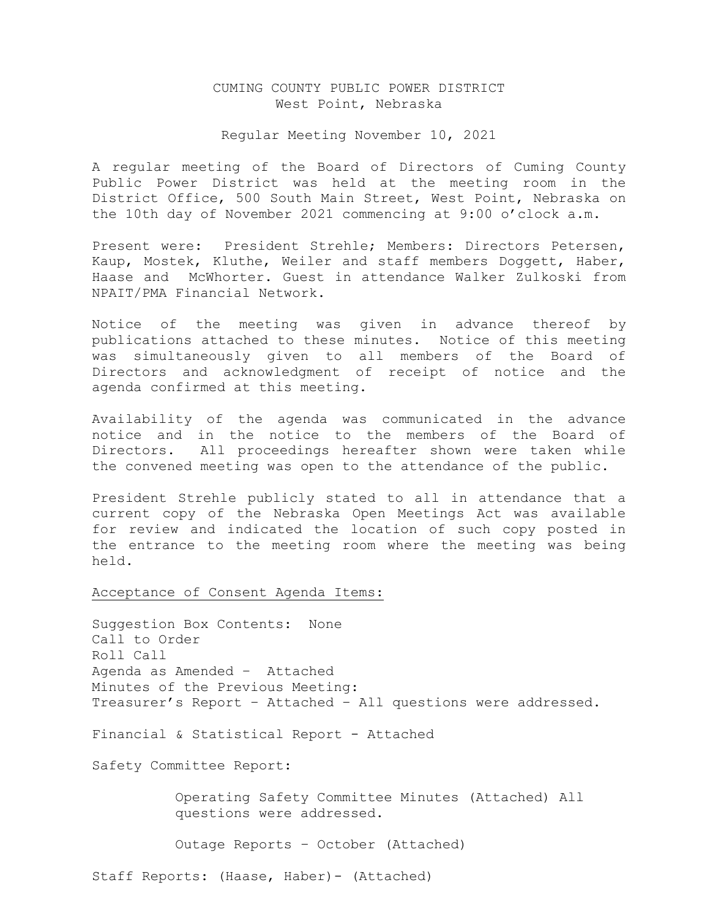# CUMING COUNTY PUBLIC POWER DISTRICT West Point, Nebraska

### Regular Meeting November 10, 2021

A regular meeting of the Board of Directors of Cuming County Public Power District was held at the meeting room in the District Office, 500 South Main Street, West Point, Nebraska on the 10th day of November 2021 commencing at 9:00 o'clock a.m.

Present were: President Strehle; Members: Directors Petersen, Kaup, Mostek, Kluthe, Weiler and staff members Doggett, Haber, Haase and McWhorter. Guest in attendance Walker Zulkoski from NPAIT/PMA Financial Network.

Notice of the meeting was given in advance thereof by publications attached to these minutes. Notice of this meeting was simultaneously given to all members of the Board of Directors and acknowledgment of receipt of notice and the agenda confirmed at this meeting.

Availability of the agenda was communicated in the advance notice and in the notice to the members of the Board of Directors. All proceedings hereafter shown were taken while the convened meeting was open to the attendance of the public.

President Strehle publicly stated to all in attendance that a current copy of the Nebraska Open Meetings Act was available for review and indicated the location of such copy posted in the entrance to the meeting room where the meeting was being held.

Acceptance of Consent Agenda Items:

Suggestion Box Contents: None Call to Order Roll Call Agenda as Amended – Attached Minutes of the Previous Meeting: Treasurer's Report – Attached – All questions were addressed.

Financial & Statistical Report - Attached

Safety Committee Report:

 Operating Safety Committee Minutes (Attached) All questions were addressed.

Outage Reports – October (Attached)

Staff Reports: (Haase, Haber)- (Attached)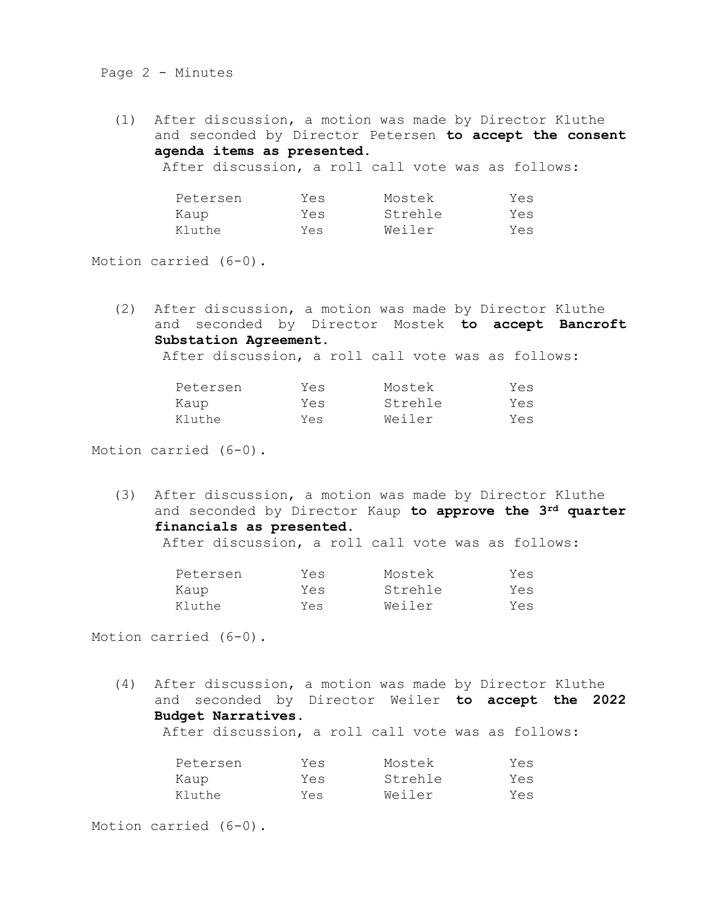# Page 2 - Minutes

(1) After discussion, a motion was made by Director Kluthe and seconded by Director Petersen **to accept the consent agenda items as presented.** After discussion, a roll call vote was as follows:

| Petersen | Yes | Mostek  | Yes |
|----------|-----|---------|-----|
| Kaup     | Yes | Strehle | Yes |
| Kluthe   | Yes | Weiler  | Yes |

Motion carried (6-0).

(2) After discussion, a motion was made by Director Kluthe and seconded by Director Mostek **to accept Bancroft Substation Agreement.** 

After discussion, a roll call vote was as follows:

| Petersen | Yes | Mostek  | Yes |
|----------|-----|---------|-----|
| Kaup     | Yes | Strehle | Yes |
| Kluthe   | Yes | Weiler  | Yes |

Motion carried (6-0).

(3) After discussion, a motion was made by Director Kluthe and seconded by Director Kaup **to approve the 3rd quarter financials as presented.** 

| After discussion, a roll call vote was as follows: |  |  |  |  |  |  |  |  |
|----------------------------------------------------|--|--|--|--|--|--|--|--|
|----------------------------------------------------|--|--|--|--|--|--|--|--|

| Petersen | Yes | Mostek  | Yes |
|----------|-----|---------|-----|
| Kaup     | Yes | Strehle | Yes |
| Kluthe   | Yes | Weiler  | Yes |

Motion carried (6-0).

(4) After discussion, a motion was made by Director Kluthe and seconded by Director Weiler **to accept the 2022 Budget Narratives.** After discussion, a roll call vote was as follows:

| Petersen | Yes | Mostek  | Yes |
|----------|-----|---------|-----|
| Kaup     | Yes | Strehle | Yes |
| Kluthe   | Yes | Weiler  | Yes |

Motion carried (6-0).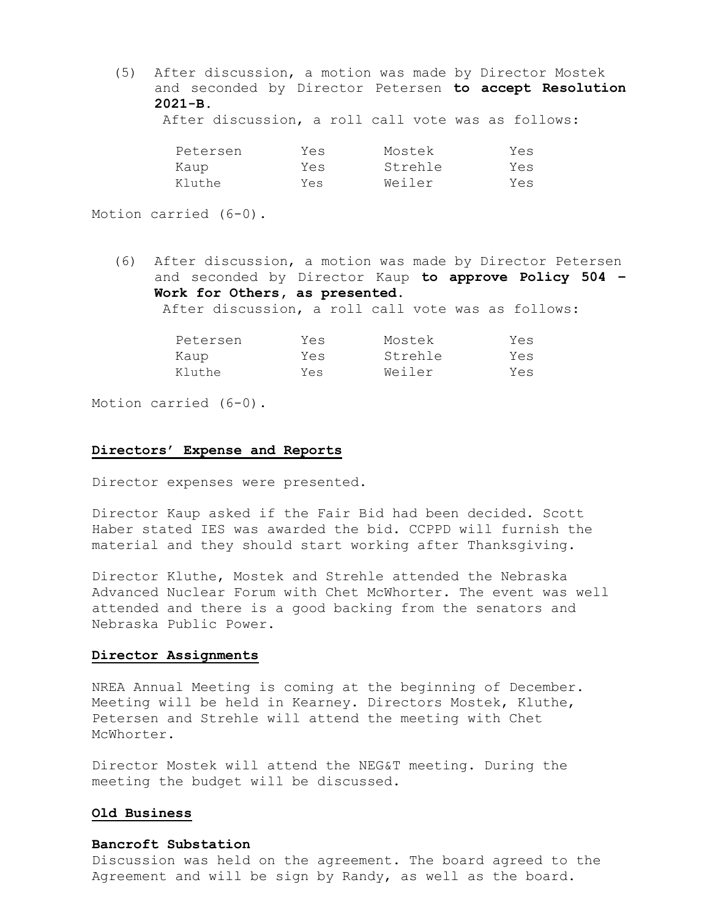(5) After discussion, a motion was made by Director Mostek and seconded by Director Petersen **to accept Resolution 2021-B.** 

After discussion, a roll call vote was as follows:

| Petersen | Yes | Mostek  | Yes |
|----------|-----|---------|-----|
| Kaup     | Yes | Strehle | Yes |
| Kluthe   | Yes | Weiler  | Yes |

Motion carried (6-0).

(6) After discussion, a motion was made by Director Petersen and seconded by Director Kaup **to approve Policy 504 – Work for Others, as presented.** After discussion, a roll call vote was as follows:

| Petersen | Yes | Mostek  | Yes |
|----------|-----|---------|-----|
| Kaup     | Yes | Strehle | Yes |
| Kluthe   | Yes | Weiler  | Yes |

Motion carried (6-0).

#### **Directors' Expense and Reports**

Director expenses were presented.

Director Kaup asked if the Fair Bid had been decided. Scott Haber stated IES was awarded the bid. CCPPD will furnish the material and they should start working after Thanksgiving.

Director Kluthe, Mostek and Strehle attended the Nebraska Advanced Nuclear Forum with Chet McWhorter. The event was well attended and there is a good backing from the senators and Nebraska Public Power.

### **Director Assignments**

NREA Annual Meeting is coming at the beginning of December. Meeting will be held in Kearney. Directors Mostek, Kluthe, Petersen and Strehle will attend the meeting with Chet McWhorter.

Director Mostek will attend the NEG&T meeting. During the meeting the budget will be discussed.

## **Old Business**

### **Bancroft Substation**

Discussion was held on the agreement. The board agreed to the Agreement and will be sign by Randy, as well as the board.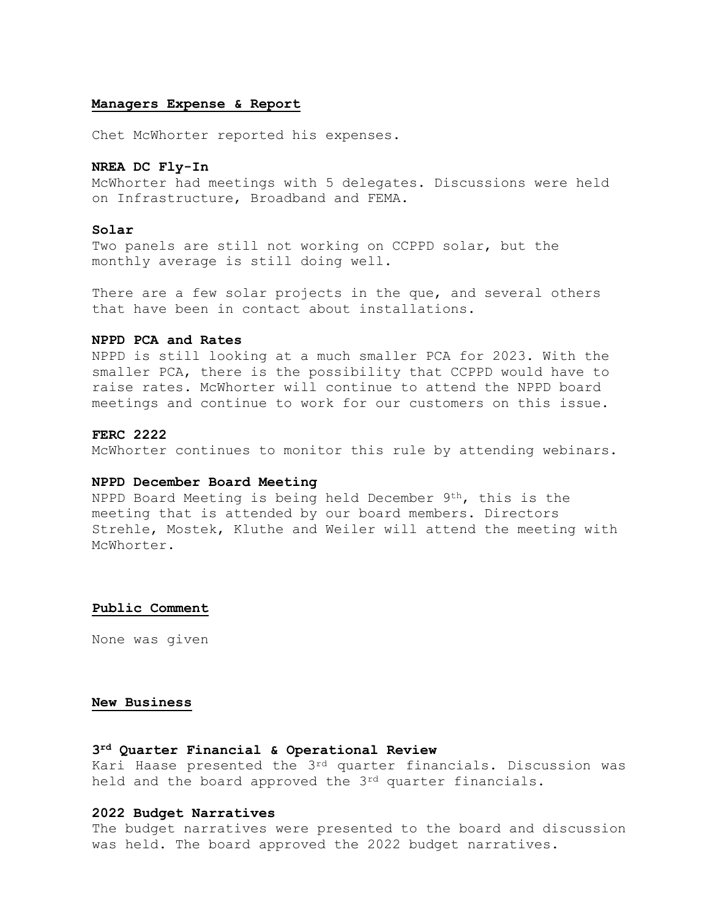### **Managers Expense & Report**

Chet McWhorter reported his expenses.

## **NREA DC Fly-In**

McWhorter had meetings with 5 delegates. Discussions were held on Infrastructure, Broadband and FEMA.

## **Solar**

Two panels are still not working on CCPPD solar, but the monthly average is still doing well.

There are a few solar projects in the que, and several others that have been in contact about installations.

# **NPPD PCA and Rates**

NPPD is still looking at a much smaller PCA for 2023. With the smaller PCA, there is the possibility that CCPPD would have to raise rates. McWhorter will continue to attend the NPPD board meetings and continue to work for our customers on this issue.

### **FERC 2222**

McWhorter continues to monitor this rule by attending webinars.

# **NPPD December Board Meeting**

NPPD Board Meeting is being held December 9th, this is the meeting that is attended by our board members. Directors Strehle, Mostek, Kluthe and Weiler will attend the meeting with McWhorter.

#### **Public Comment**

None was given

### **New Business**

# **3rd Quarter Financial & Operational Review**

Kari Haase presented the 3rd quarter financials. Discussion was held and the board approved the 3<sup>rd</sup> quarter financials.

#### **2022 Budget Narratives**

The budget narratives were presented to the board and discussion was held. The board approved the 2022 budget narratives.